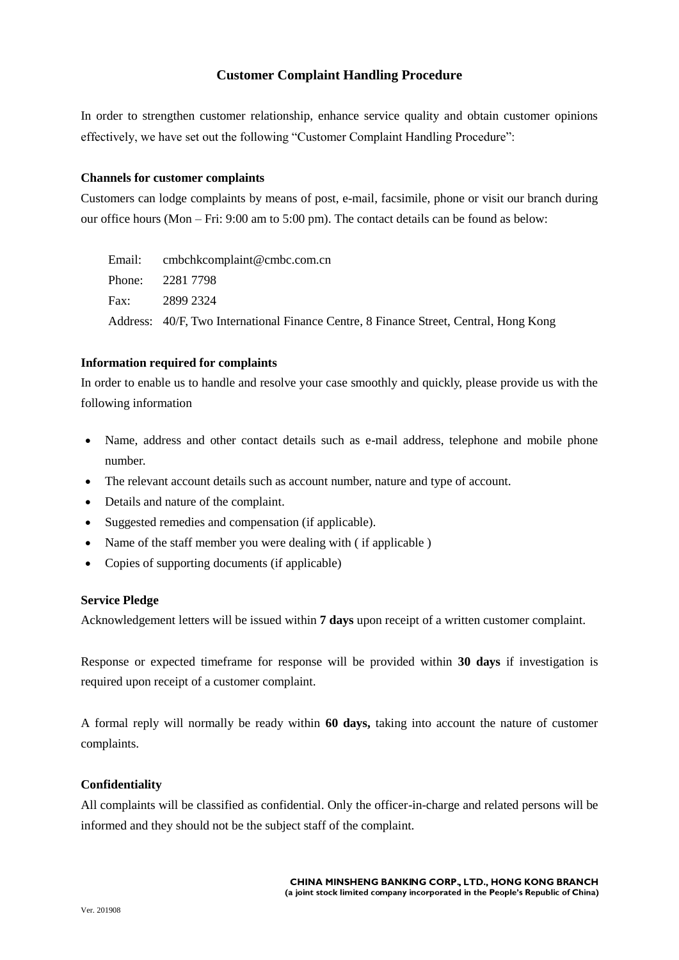# **Customer Complaint Handling Procedure**

In order to strengthen customer relationship, enhance service quality and obtain customer opinions effectively, we have set out the following "Customer Complaint Handling Procedure":

### **Channels for customer complaints**

Customers can lodge complaints by means of post, e-mail, facsimile, phone or visit our branch during our office hours (Mon – Fri: 9:00 am to 5:00 pm). The contact details can be found as below:

| Email: cmbchkcomplaint@cmbc.com.cn                                                    |
|---------------------------------------------------------------------------------------|
| Phone: 2281 7798                                                                      |
| Fax: 2899 2324                                                                        |
| Address: 40/F, Two International Finance Centre, 8 Finance Street, Central, Hong Kong |

### **Information required for complaints**

In order to enable us to handle and resolve your case smoothly and quickly, please provide us with the following information

- Name, address and other contact details such as e-mail address, telephone and mobile phone number.
- The relevant account details such as account number, nature and type of account.
- Details and nature of the complaint.
- Suggested remedies and compensation (if applicable).
- Name of the staff member you were dealing with (if applicable)
- Copies of supporting documents (if applicable)

## **Service Pledge**

Acknowledgement letters will be issued within **7 days** upon receipt of a written customer complaint.

Response or expected timeframe for response will be provided within **30 days** if investigation is required upon receipt of a customer complaint.

A formal reply will normally be ready within **60 days,** taking into account the nature of customer complaints.

## **Confidentiality**

All complaints will be classified as confidential. Only the officer-in-charge and related persons will be informed and they should not be the subject staff of the complaint.